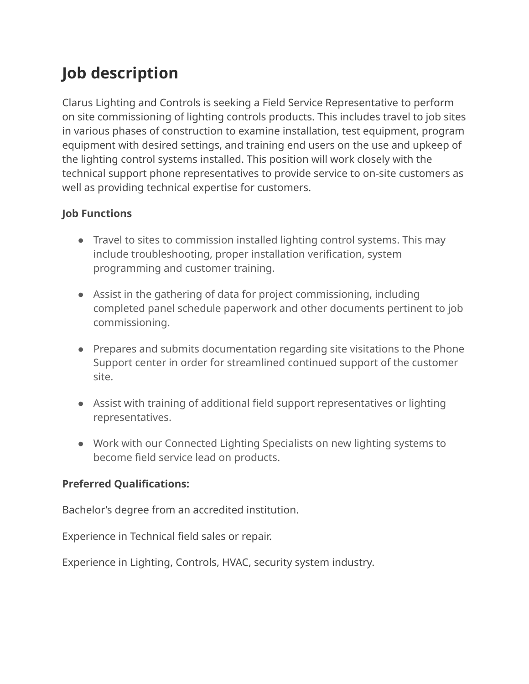## **Job description**

Clarus Lighting and Controls is seeking a Field Service Representative to perform on site commissioning of lighting controls products. This includes travel to job sites in various phases of construction to examine installation, test equipment, program equipment with desired settings, and training end users on the use and upkeep of the lighting control systems installed. This position will work closely with the technical support phone representatives to provide service to on-site customers as well as providing technical expertise for customers.

## **Job Functions**

- Travel to sites to commission installed lighting control systems. This may include troubleshooting, proper installation verification, system programming and customer training.
- Assist in the gathering of data for project commissioning, including completed panel schedule paperwork and other documents pertinent to job commissioning.
- Prepares and submits documentation regarding site visitations to the Phone Support center in order for streamlined continued support of the customer site.
- Assist with training of additional field support representatives or lighting representatives.
- Work with our Connected Lighting Specialists on new lighting systems to become field service lead on products.

## **Preferred Qualifications:**

Bachelor's degree from an accredited institution.

Experience in Technical field sales or repair.

Experience in Lighting, Controls, HVAC, security system industry.